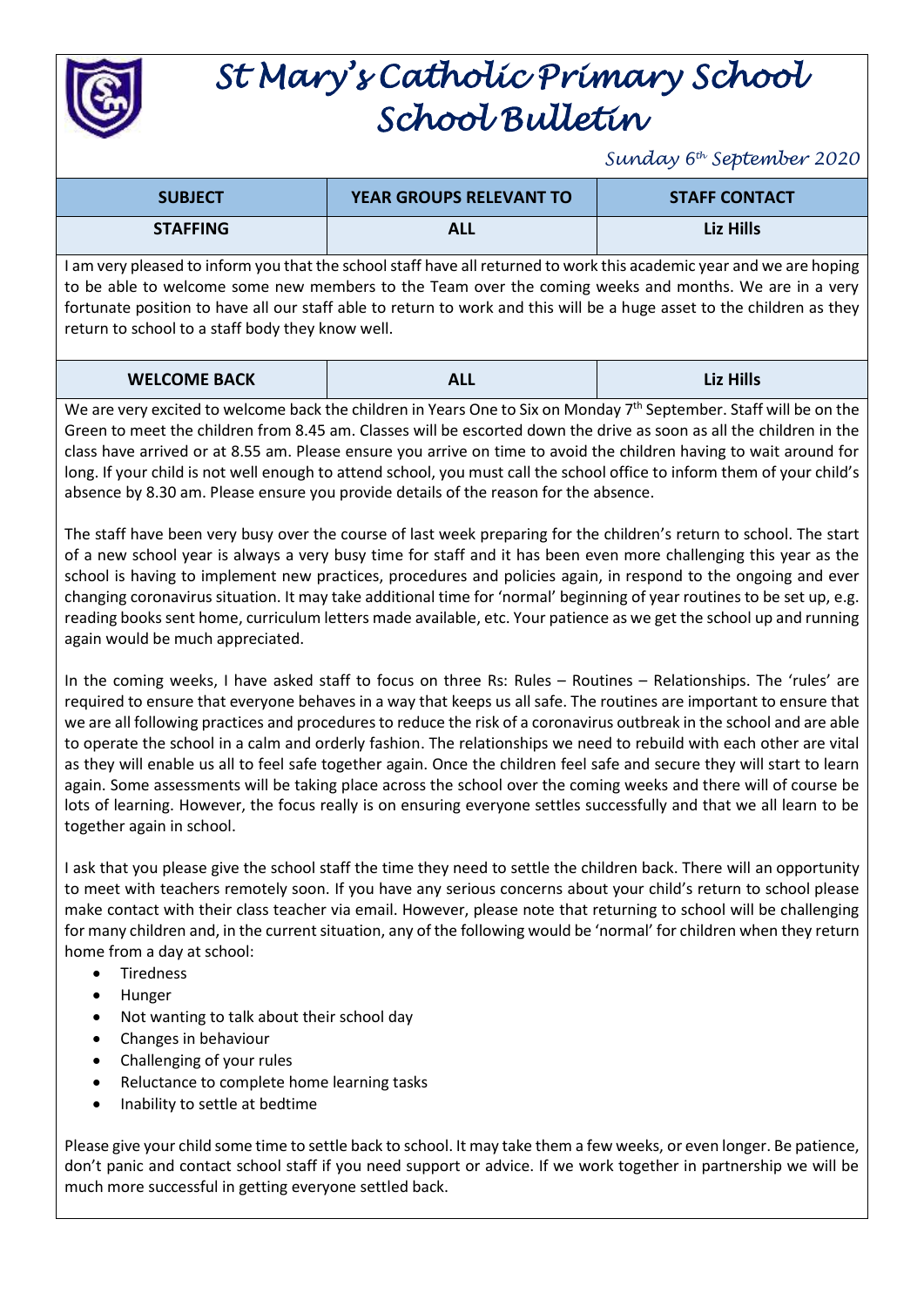

## *St Mary's Catholic Primary School School Bulletin*

*Sunday 6th September 2020*

| <b>SUBJECT</b>                                                                                                       | <b>YEAR GROUPS RELEVANT TO</b> | <b>STAFF CONTACT</b> |
|----------------------------------------------------------------------------------------------------------------------|--------------------------------|----------------------|
| <b>STAFFING</b>                                                                                                      | <b>ALL</b>                     | Liz Hills            |
| I am very pleased to inform you that the school staff have all returned to work this academic year and we are hoping |                                |                      |

I am very pleased to inform you that the school staff have all returned to work this academic year and we are hoping to be able to welcome some new members to the Team over the coming weeks and months. We are in a very fortunate position to have all our staff able to return to work and this will be a huge asset to the children as they return to school to a staff body they know well.

| <b>WELCOME BACK</b> | <b>ALL</b> | <b>Liz Hills</b> |
|---------------------|------------|------------------|
|---------------------|------------|------------------|

We are very excited to welcome back the children in Years One to Six on Monday 7<sup>th</sup> September. Staff will be on the Green to meet the children from 8.45 am. Classes will be escorted down the drive as soon as all the children in the class have arrived or at 8.55 am. Please ensure you arrive on time to avoid the children having to wait around for long. If your child is not well enough to attend school, you must call the school office to inform them of your child's absence by 8.30 am. Please ensure you provide details of the reason for the absence.

The staff have been very busy over the course of last week preparing for the children's return to school. The start of a new school year is always a very busy time for staff and it has been even more challenging this year as the school is having to implement new practices, procedures and policies again, in respond to the ongoing and ever changing coronavirus situation. It may take additional time for 'normal' beginning of year routines to be set up, e.g. reading books sent home, curriculum letters made available, etc. Your patience as we get the school up and running again would be much appreciated.

In the coming weeks, I have asked staff to focus on three Rs: Rules – Routines – Relationships. The 'rules' are required to ensure that everyone behaves in a way that keeps us all safe. The routines are important to ensure that we are all following practices and procedures to reduce the risk of a coronavirus outbreak in the school and are able to operate the school in a calm and orderly fashion. The relationships we need to rebuild with each other are vital as they will enable us all to feel safe together again. Once the children feel safe and secure they will start to learn again. Some assessments will be taking place across the school over the coming weeks and there will of course be lots of learning. However, the focus really is on ensuring everyone settles successfully and that we all learn to be together again in school.

I ask that you please give the school staff the time they need to settle the children back. There will an opportunity to meet with teachers remotely soon. If you have any serious concerns about your child's return to school please make contact with their class teacher via email. However, please note that returning to school will be challenging for many children and, in the current situation, any of the following would be 'normal' for children when they return home from a day at school:

- Tiredness
- Hunger
- Not wanting to talk about their school day
- Changes in behaviour
- Challenging of your rules
- Reluctance to complete home learning tasks
- Inability to settle at bedtime

Please give your child some time to settle back to school. It may take them a few weeks, or even longer. Be patience, don't panic and contact school staff if you need support or advice. If we work together in partnership we will be much more successful in getting everyone settled back.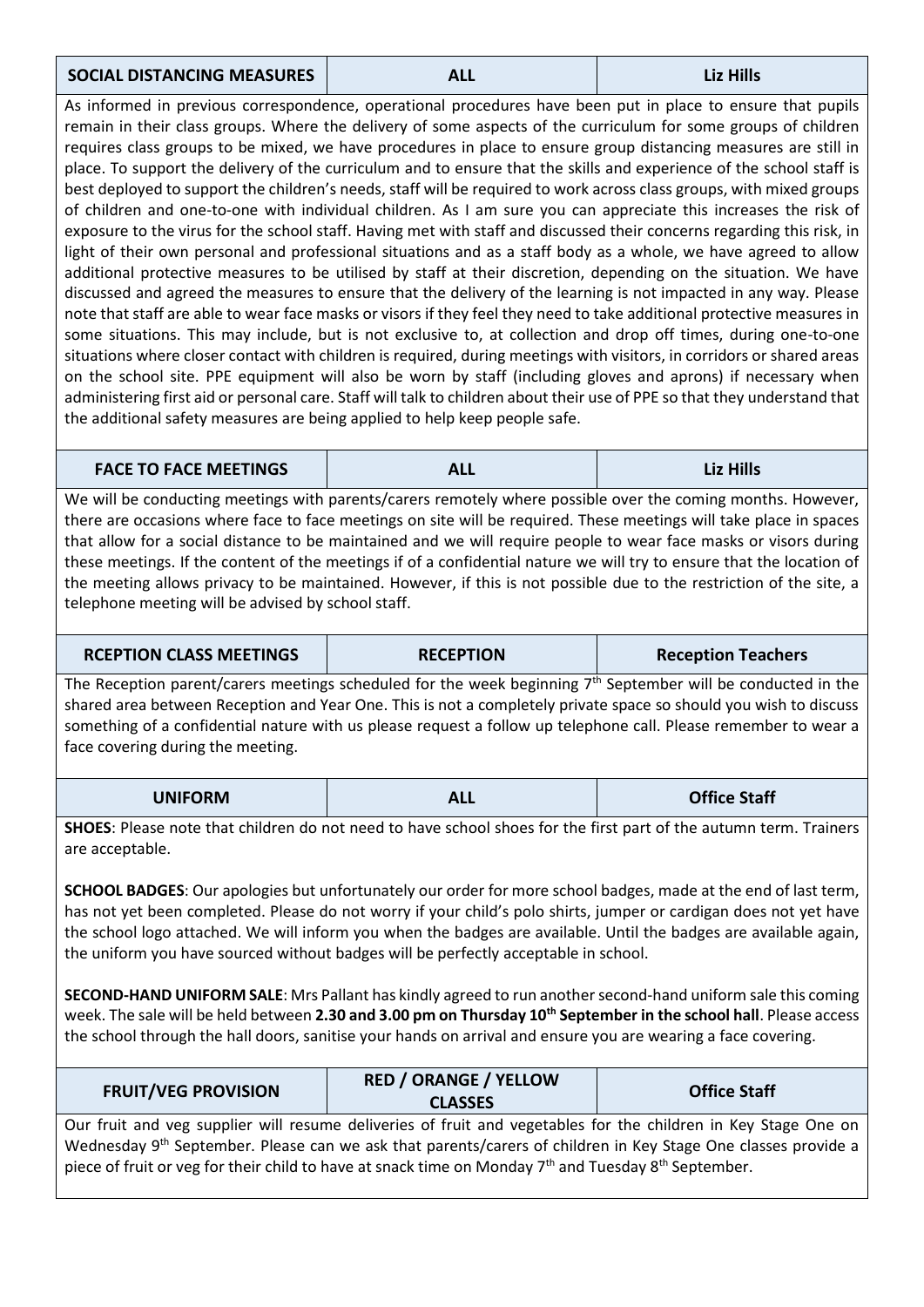## **SOCIAL DISTANCING MEASURES ALL Liz Hills**

As informed in previous correspondence, operational procedures have been put in place to ensure that pupils remain in their class groups. Where the delivery of some aspects of the curriculum for some groups of children requires class groups to be mixed, we have procedures in place to ensure group distancing measures are still in place. To support the delivery of the curriculum and to ensure that the skills and experience of the school staff is best deployed to support the children's needs, staff will be required to work across class groups, with mixed groups of children and one-to-one with individual children. As I am sure you can appreciate this increases the risk of exposure to the virus for the school staff. Having met with staff and discussed their concerns regarding this risk, in light of their own personal and professional situations and as a staff body as a whole, we have agreed to allow additional protective measures to be utilised by staff at their discretion, depending on the situation. We have discussed and agreed the measures to ensure that the delivery of the learning is not impacted in any way. Please note that staff are able to wear face masks or visors if they feel they need to take additional protective measures in some situations. This may include, but is not exclusive to, at collection and drop off times, during one-to-one situations where closer contact with children is required, during meetings with visitors, in corridors or shared areas on the school site. PPE equipment will also be worn by staff (including gloves and aprons) if necessary when administering first aid or personal care. Staff will talk to children about their use of PPE so that they understand that the additional safety measures are being applied to help keep people safe.

**FACE TO FACE MEETINGS ALL Liz Hills**

We will be conducting meetings with parents/carers remotely where possible over the coming months. However, there are occasions where face to face meetings on site will be required. These meetings will take place in spaces that allow for a social distance to be maintained and we will require people to wear face masks or visors during these meetings. If the content of the meetings if of a confidential nature we will try to ensure that the location of the meeting allows privacy to be maintained. However, if this is not possible due to the restriction of the site, a telephone meeting will be advised by school staff.

| <b>RCEPTION CLASS MEETINGS</b> | <b>RECEPTION</b>                                                                                                 | <b>Reception Teachers</b> |
|--------------------------------|------------------------------------------------------------------------------------------------------------------|---------------------------|
|                                | The Reception parent/carers meetings scheduled for the week beginning $7th$ September will be conducted in the   |                           |
|                                | shared area between Reception and Year One. This is not a completely private space so should you wish to discuss |                           |

shared area between Reception and Year One. This is not a completely private space so should you wish to discuss something of a confidential nature with us please request a follow up telephone call. Please remember to wear a face covering during the meeting.

| <b>UNIFORM</b> | <b>ALL</b> | <b>Office Staff</b> |
|----------------|------------|---------------------|
|----------------|------------|---------------------|

**SHOES**: Please note that children do not need to have school shoes for the first part of the autumn term. Trainers are acceptable.

**SCHOOL BADGES**: Our apologies but unfortunately our order for more school badges, made at the end of last term, has not yet been completed. Please do not worry if your child's polo shirts, jumper or cardigan does not yet have the school logo attached. We will inform you when the badges are available. Until the badges are available again, the uniform you have sourced without badges will be perfectly acceptable in school.

**SECOND-HAND UNIFORM SALE**: Mrs Pallant has kindly agreed to run another second-hand uniform sale this coming week. The sale will be held between **2.30 and 3.00 pm on Thursday 10th September in the school hall**. Please access the school through the hall doors, sanitise your hands on arrival and ensure you are wearing a face covering.

| <b>FRUIT/VEG PROVISION</b>                                                                                                   | <b>RED / ORANGE / YELLOW</b><br><b>CLASSES</b> | <b>Office Staff</b> |
|------------------------------------------------------------------------------------------------------------------------------|------------------------------------------------|---------------------|
| Our fruit and veg supplier will resume deliveries of fruit and vegetables for the children in Key Stage One on               |                                                |                     |
| Wednesday 9 <sup>th</sup> September. Please can we ask that parents/carers of children in Key Stage One classes provide a    |                                                |                     |
| piece of fruit or veg for their child to have at snack time on Monday 7 <sup>th</sup> and Tuesday 8 <sup>th</sup> September. |                                                |                     |